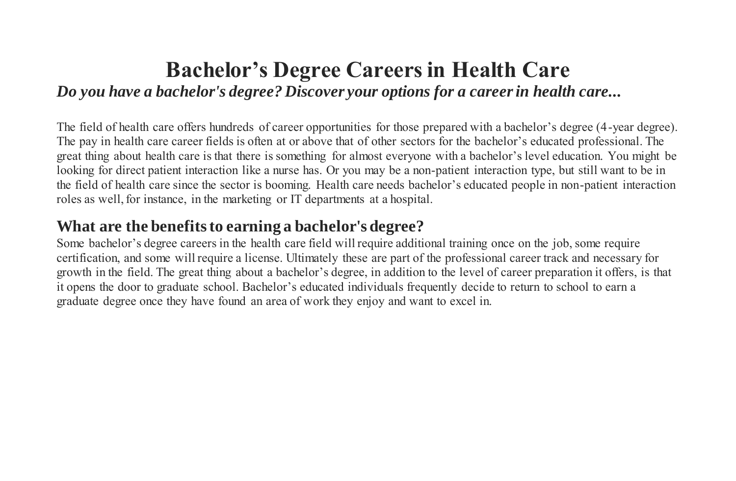## **Bachelor's Degree Careers in Health Care** *Do you have a bachelor's degree? Discover your options for a career in health care...*

The field of health care offers hundreds of career opportunities for those prepared with a bachelor's degree (4-year degree). The pay in health care career fields is often at or above that of other sectors for the bachelor's educated professional. The great thing about health care is that there is something for almost everyone with a bachelor's level education. You might be looking for direct patient interaction like a nurse has. Or you may be a non-patient interaction type, but still want to be in the field of health care since the sector is booming. Health care needs bachelor's educated people in non-patient interaction roles as well, for instance, in the marketing or IT departments at a hospital.

## **What are the benefits to earning a bachelor's degree?**

Some bachelor's degree careers in the health care field will require additional training once on the job, some require certification, and some will require a license. Ultimately these are part of the professional career track and necessary for growth in the field. The great thing about a bachelor's degree, in addition to the level of career preparation it offers, is that it opens the door to graduate school. Bachelor's educated individuals frequently decide to return to school to earn a graduate degree once they have found an area of work they enjoy and want to excel in.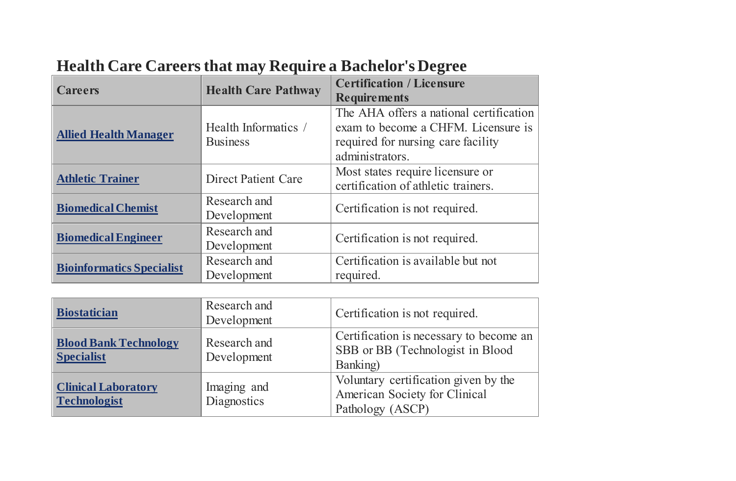| <b>Careers</b>                   | <b>Health Care Pathway</b>              | <b>Certification / Licensure</b>                                                                                                        |
|----------------------------------|-----------------------------------------|-----------------------------------------------------------------------------------------------------------------------------------------|
|                                  |                                         | <b>Requirements</b>                                                                                                                     |
| <b>Allied Health Manager</b>     | Health Informatics /<br><b>Business</b> | The AHA offers a national certification<br>exam to become a CHFM. Licensure is<br>required for nursing care facility<br>administrators. |
| <b>Athletic Trainer</b>          | <b>Direct Patient Care</b>              | Most states require licensure or<br>certification of athletic trainers.                                                                 |
| <b>Biomedical Chemist</b>        | Research and<br>Development             | Certification is not required.                                                                                                          |
| <b>Biomedical Engineer</b>       | Research and<br>Development             | Certification is not required.                                                                                                          |
| <b>Bioinformatics Specialist</b> | Research and<br>Development             | Certification is available but not<br>required.                                                                                         |

| <b>Biostatician</b>                               | Research and<br>Development | Certification is not required.                                                            |
|---------------------------------------------------|-----------------------------|-------------------------------------------------------------------------------------------|
| <b>Blood Bank Technology</b><br><b>Specialist</b> | Research and<br>Development | Certification is necessary to become an<br>SBB or BB (Technologist in Blood<br>Banking)   |
| <b>Clinical Laboratory</b><br><b>Technologist</b> | Imaging and<br>Diagnostics  | Voluntary certification given by the<br>American Society for Clinical<br>Pathology (ASCP) |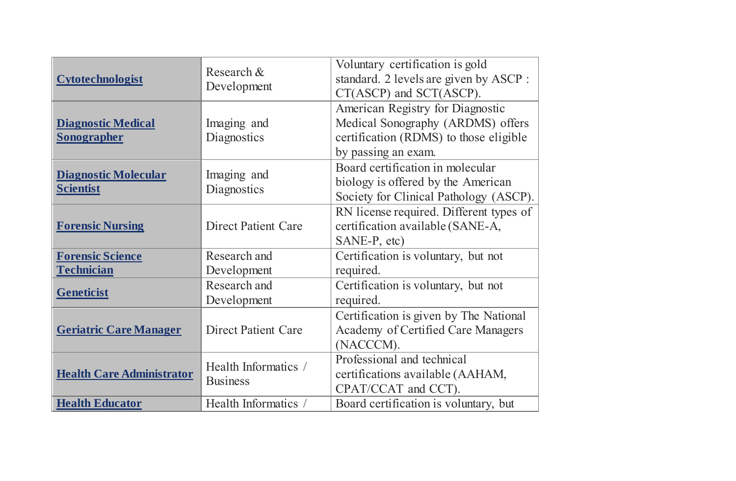| <b>Cytotechnologist</b>                         | Research &<br>Development               | Voluntary certification is gold<br>standard. 2 levels are given by ASCP :<br>CT(ASCP) and SCT(ASCP).                                   |
|-------------------------------------------------|-----------------------------------------|----------------------------------------------------------------------------------------------------------------------------------------|
| <b>Diagnostic Medical</b><br><b>Sonographer</b> | Imaging and<br>Diagnostics              | American Registry for Diagnostic<br>Medical Sonography (ARDMS) offers<br>certification (RDMS) to those eligible<br>by passing an exam. |
| <b>Diagnostic Molecular</b><br><b>Scientist</b> | Imaging and<br>Diagnostics              | Board certification in molecular<br>biology is offered by the American<br>Society for Clinical Pathology (ASCP).                       |
| <b>Forensic Nursing</b>                         | <b>Direct Patient Care</b>              | RN license required. Different types of<br>certification available (SANE-A,<br>SANE-P, etc)                                            |
| <b>Forensic Science</b><br><b>Technician</b>    | Research and<br>Development             | Certification is voluntary, but not<br>required.                                                                                       |
| <b>Geneticist</b>                               | Research and<br>Development             | Certification is voluntary, but not<br>required.                                                                                       |
| <b>Geriatric Care Manager</b>                   | <b>Direct Patient Care</b>              | Certification is given by The National<br><b>Academy of Certified Care Managers</b><br>(NACCCM).                                       |
| <b>Health Care Administrator</b>                | Health Informatics /<br><b>Business</b> | Professional and technical<br>certifications available (AAHAM,<br>CPAT/CCAT and CCT).                                                  |
| <b>Health Educator</b>                          | Health Informatics /                    | Board certification is voluntary, but                                                                                                  |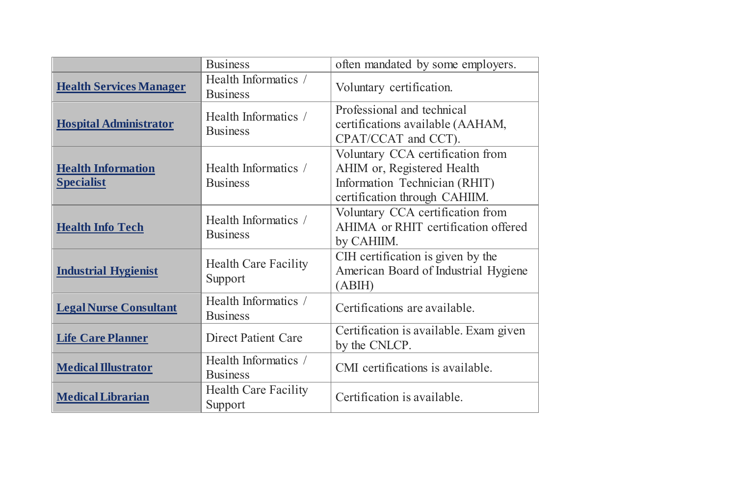|                                                | <b>Business</b>                         | often mandated by some employers.                                                                                                |
|------------------------------------------------|-----------------------------------------|----------------------------------------------------------------------------------------------------------------------------------|
| <b>Health Services Manager</b>                 | Health Informatics /<br><b>Business</b> | Voluntary certification.                                                                                                         |
| <b>Hospital Administrator</b>                  | Health Informatics /<br><b>Business</b> | Professional and technical<br>certifications available (AAHAM,<br>CPAT/CCAT and CCT).                                            |
| <b>Health Information</b><br><b>Specialist</b> | Health Informatics /<br><b>Business</b> | Voluntary CCA certification from<br>AHIM or, Registered Health<br>Information Technician (RHIT)<br>certification through CAHIIM. |
| <b>Health Info Tech</b>                        | Health Informatics /<br><b>Business</b> | Voluntary CCA certification from<br>AHIMA or RHIT certification offered<br>by CAHIIM.                                            |
| <b>Industrial Hygienist</b>                    | <b>Health Care Facility</b><br>Support  | CIH certification is given by the<br>American Board of Industrial Hygiene<br>(ABIH)                                              |
| <b>Legal Nurse Consultant</b>                  | Health Informatics /<br><b>Business</b> | Certifications are available.                                                                                                    |
| <b>Life Care Planner</b>                       | <b>Direct Patient Care</b>              | Certification is available. Exam given<br>by the CNLCP.                                                                          |
| <b>Medical Illustrator</b>                     | Health Informatics /<br><b>Business</b> | CMI certifications is available.                                                                                                 |
| <b>Medical Librarian</b>                       | <b>Health Care Facility</b><br>Support  | Certification is available.                                                                                                      |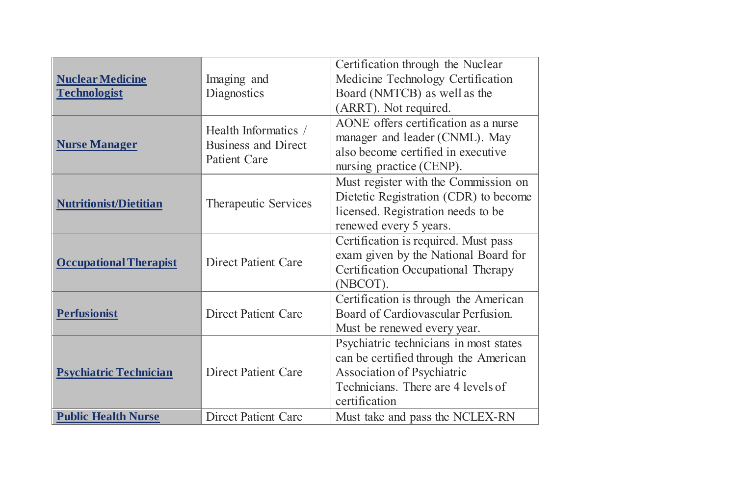|                               |                                                   | Certification through the Nuclear      |
|-------------------------------|---------------------------------------------------|----------------------------------------|
| <b>Nuclear Medicine</b>       | Imaging and                                       | Medicine Technology Certification      |
| <b>Technologist</b>           | Diagnostics                                       | Board (NMTCB) as well as the           |
|                               |                                                   | (ARRT). Not required.                  |
|                               | Health Informatics /                              | AONE offers certification as a nurse   |
| <b>Nurse Manager</b>          | <b>Business and Direct</b><br><b>Patient Care</b> | manager and leader (CNML). May         |
|                               |                                                   | also become certified in executive     |
|                               |                                                   | nursing practice (CENP).               |
|                               |                                                   | Must register with the Commission on   |
| <b>Nutritionist/Dietitian</b> | Therapeutic Services                              | Dietetic Registration (CDR) to become  |
|                               |                                                   | licensed. Registration needs to be     |
|                               |                                                   | renewed every 5 years.                 |
|                               |                                                   | Certification is required. Must pass   |
| <b>Occupational Therapist</b> | <b>Direct Patient Care</b>                        | exam given by the National Board for   |
|                               |                                                   | Certification Occupational Therapy     |
|                               |                                                   | (NBCOT).                               |
|                               |                                                   | Certification is through the American  |
| <b>Perfusionist</b>           | <b>Direct Patient Care</b>                        | Board of Cardiovascular Perfusion.     |
|                               |                                                   | Must be renewed every year.            |
|                               |                                                   | Psychiatric technicians in most states |
|                               |                                                   | can be certified through the American  |
| <b>Psychiatric Technician</b> | <b>Direct Patient Care</b>                        | <b>Association of Psychiatric</b>      |
|                               |                                                   | Technicians. There are 4 levels of     |
|                               |                                                   | certification                          |
| <b>Public Health Nurse</b>    | <b>Direct Patient Care</b>                        | Must take and pass the NCLEX-RN        |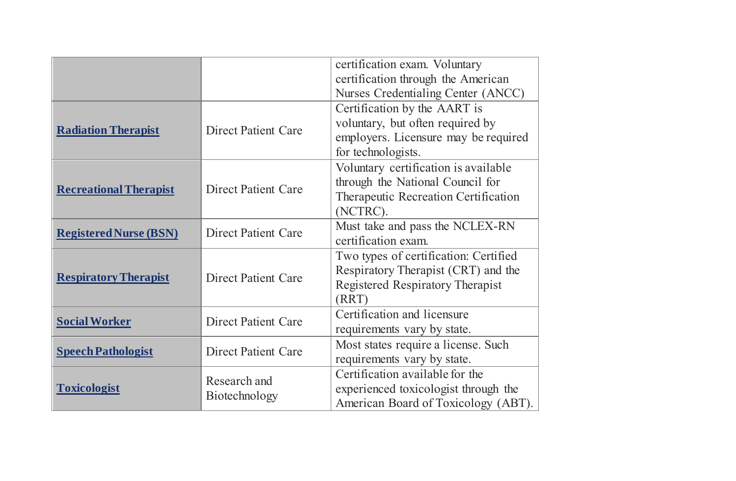|                               |                               | certification exam. Voluntary         |
|-------------------------------|-------------------------------|---------------------------------------|
|                               |                               | certification through the American    |
|                               |                               | Nurses Credentialing Center (ANCC)    |
|                               |                               | Certification by the AART is          |
|                               | <b>Direct Patient Care</b>    | voluntary, but often required by      |
| <b>Radiation Therapist</b>    |                               | employers. Licensure may be required  |
|                               |                               | for technologists.                    |
|                               |                               | Voluntary certification is available  |
| <b>Recreational Therapist</b> | <b>Direct Patient Care</b>    | through the National Council for      |
|                               |                               | Therapeutic Recreation Certification  |
|                               |                               | (NCTRC).                              |
| <b>Registered Nurse (BSN)</b> | <b>Direct Patient Care</b>    | Must take and pass the NCLEX-RN       |
|                               |                               | certification exam.                   |
|                               |                               | Two types of certification: Certified |
| <b>Respiratory Therapist</b>  | <b>Direct Patient Care</b>    | Respiratory Therapist (CRT) and the   |
|                               |                               | Registered Respiratory Therapist      |
|                               |                               | (RRT)                                 |
| <b>Social Worker</b>          | <b>Direct Patient Care</b>    | Certification and licensure           |
|                               |                               | requirements vary by state.           |
| <b>Speech Pathologist</b>     | <b>Direct Patient Care</b>    | Most states require a license. Such   |
|                               |                               | requirements vary by state.           |
| <b>Toxicologist</b>           | Research and<br>Biotechnology | Certification available for the       |
|                               |                               | experienced toxicologist through the  |
|                               |                               | American Board of Toxicology (ABT).   |